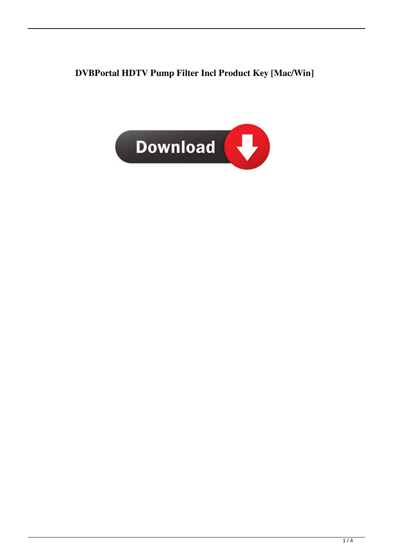**DVBPortal HDTV Pump Filter Incl Product Key [Mac/Win]**

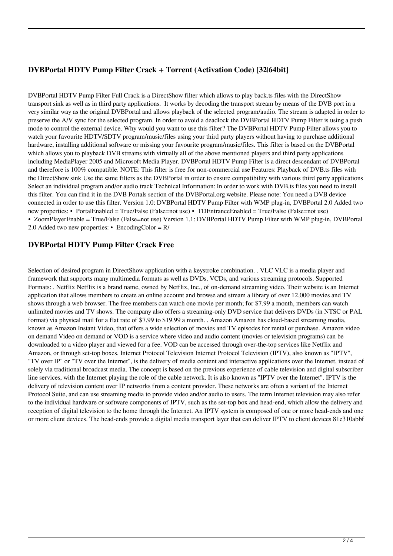## **DVBPortal HDTV Pump Filter Crack + Torrent (Activation Code) [32|64bit]**

DVBPortal HDTV Pump Filter Full Crack is a DirectShow filter which allows to play back.ts files with the DirectShow transport sink as well as in third party applications. It works by decoding the transport stream by means of the DVB port in a very similar way as the original DVBPortal and allows playback of the selected program/audio. The stream is adapted in order to preserve the A/V sync for the selected program. In order to avoid a deadlock the DVBPortal HDTV Pump Filter is using a push mode to control the external device. Why would you want to use this filter? The DVBPortal HDTV Pump Filter allows you to watch your favourite HDTV/SDTV program/music/files using your third party players without having to purchase additional hardware, installing additional software or missing your favourite program/music/files. This filter is based on the DVBPortal which allows you to playback DVB streams with virtually all of the above mentioned players and third party applications including MediaPlayer 2005 and Microsoft Media Player. DVBPortal HDTV Pump Filter is a direct descendant of DVBPortal and therefore is 100% compatible. NOTE: This filter is free for non-commercial use Features: Playback of DVB.ts files with the DirectShow sink Use the same filters as the DVBPortal in order to ensure compatibility with various third party applications Select an individual program and/or audio track Technical Information: In order to work with DVB.ts files you need to install this filter. You can find it in the DVB Portals section of the DVBPortal.org website. Please note: You need a DVB device connected in order to use this filter. Version 1.0: DVBPortal HDTV Pump Filter with WMP plug-in, DVBPortal 2.0 Added two new properties: • PortalEnabled = True/False (False=not use) • TDEntranceEnabled = True/False (False=not use) • ZoomPlayerEnable = True/False (False=not use) Version 1.1: DVBPortal HDTV Pump Filter with WMP plug-in, DVBPortal 2.0 Added two new properties: • EncodingColor = R/

**DVBPortal HDTV Pump Filter Crack Free**

Selection of desired program in DirectShow application with a keystroke combination. . VLC VLC is a media player and framework that supports many multimedia formats as well as DVDs, VCDs, and various streaming protocols. Supported Formats: . Netflix Netflix is a brand name, owned by Netflix, Inc., of on-demand streaming video. Their website is an Internet application that allows members to create an online account and browse and stream a library of over 12,000 movies and TV shows through a web browser. The free members can watch one movie per month; for \$7.99 a month, members can watch unlimited movies and TV shows. The company also offers a streaming-only DVD service that delivers DVDs (in NTSC or PAL format) via physical mail for a flat rate of \$7.99 to \$19.99 a month. . Amazon Amazon has cloud-based streaming media, known as Amazon Instant Video, that offers a wide selection of movies and TV episodes for rental or purchase. Amazon video on demand Video on demand or VOD is a service where video and audio content (movies or television programs) can be downloaded to a video player and viewed for a fee. VOD can be accessed through over-the-top services like Netflix and Amazon, or through set-top boxes. Internet Protocol Television Internet Protocol Television (IPTV), also known as "IPTV", "TV over IP" or "TV over the Internet", is the delivery of media content and interactive applications over the Internet, instead of solely via traditional broadcast media. The concept is based on the previous experience of cable television and digital subscriber line services, with the Internet playing the role of the cable network. It is also known as "IPTV over the Internet". IPTV is the delivery of television content over IP networks from a content provider. These networks are often a variant of the Internet Protocol Suite, and can use streaming media to provide video and/or audio to users. The term Internet television may also refer to the individual hardware or software components of IPTV, such as the set-top box and head-end, which allow the delivery and reception of digital television to the home through the Internet. An IPTV system is composed of one or more head-ends and one or more client devices. The head-ends provide a digital media transport layer that can deliver IPTV to client devices 81e310abbf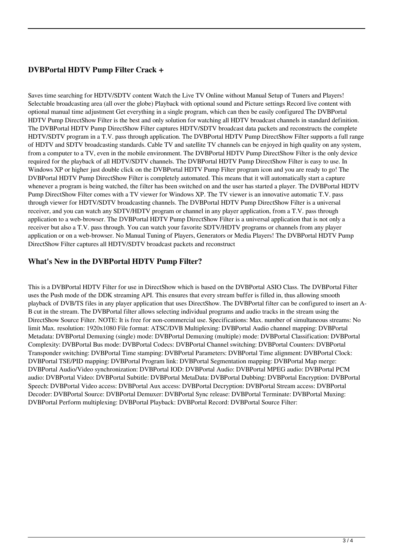## **DVBPortal HDTV Pump Filter Crack +**

Saves time searching for HDTV/SDTV content Watch the Live TV Online without Manual Setup of Tuners and Players! Selectable broadcasting area (all over the globe) Playback with optional sound and Picture settings Record live content with optional manual time adjustment Get everything in a single program, which can then be easily configured The DVBPortal HDTV Pump DirectShow Filter is the best and only solution for watching all HDTV broadcast channels in standard definition. The DVBPortal HDTV Pump DirectShow Filter captures HDTV/SDTV broadcast data packets and reconstructs the complete HDTV/SDTV program in a T.V. pass through application. The DVBPortal HDTV Pump DirectShow Filter supports a full range of HDTV and SDTV broadcasting standards. Cable TV and satellite TV channels can be enjoyed in high quality on any system, from a computer to a TV, even in the mobile environment. The DVBPortal HDTV Pump DirectShow Filter is the only device required for the playback of all HDTV/SDTV channels. The DVBPortal HDTV Pump DirectShow Filter is easy to use. In Windows XP or higher just double click on the DVBPortal HDTV Pump Filter program icon and you are ready to go! The DVBPortal HDTV Pump DirectShow Filter is completely automated. This means that it will automatically start a capture whenever a program is being watched, the filter has been switched on and the user has started a player. The DVBPortal HDTV Pump DirectShow Filter comes with a TV viewer for Windows XP. The TV viewer is an innovative automatic T.V. pass through viewer for HDTV/SDTV broadcasting channels. The DVBPortal HDTV Pump DirectShow Filter is a universal receiver, and you can watch any SDTV/HDTV program or channel in any player application, from a T.V. pass through application to a web-browser. The DVBPortal HDTV Pump DirectShow Filter is a universal application that is not only a receiver but also a T.V. pass through. You can watch your favorite SDTV/HDTV programs or channels from any player application or on a web-browser. No Manual Tuning of Players, Generators or Media Players! The DVBPortal HDTV Pump DirectShow Filter captures all HDTV/SDTV broadcast packets and reconstruct

## **What's New in the DVBPortal HDTV Pump Filter?**

This is a DVBPortal HDTV Filter for use in DirectShow which is based on the DVBPortal ASIO Class. The DVBPortal Filter uses the Push mode of the DDK streaming API. This ensures that every stream buffer is filled in, thus allowing smooth playback of DVB/TS files in any player application that uses DirectShow. The DVBPortal filter can be configured to insert an A-B cut in the stream. The DVBPortal filter allows selecting individual programs and audio tracks in the stream using the DirectShow Source Filter. NOTE: It is free for non-commercial use. Specifications: Max. number of simultaneous streams: No limit Max. resolution: 1920x1080 File format: ATSC/DVB Multiplexing: DVBPortal Audio channel mapping: DVBPortal Metadata: DVBPortal Demuxing (single) mode: DVBPortal Demuxing (multiple) mode: DVBPortal Classification: DVBPortal Complexity: DVBPortal Bus mode: DVBPortal Codecs: DVBPortal Channel switching: DVBPortal Counters: DVBPortal Transponder switching: DVBPortal Time stamping: DVBPortal Parameters: DVBPortal Time alignment: DVBPortal Clock: DVBPortal TSE/PID mapping: DVBPortal Program link: DVBPortal Segmentation mapping: DVBPortal Map merge: DVBPortal Audio/Video synchronization: DVBPortal IOD: DVBPortal Audio: DVBPortal MPEG audio: DVBPortal PCM audio: DVBPortal Video: DVBPortal Subtitle: DVBPortal MetaData: DVBPortal Dubbing: DVBPortal Encryption: DVBPortal Speech: DVBPortal Video access: DVBPortal Aux access: DVBPortal Decryption: DVBPortal Stream access: DVBPortal Decoder: DVBPortal Source: DVBPortal Demuxer: DVBPortal Sync release: DVBPortal Terminate: DVBPortal Muxing: DVBPortal Perform multiplexing: DVBPortal Playback: DVBPortal Record: DVBPortal Source Filter: